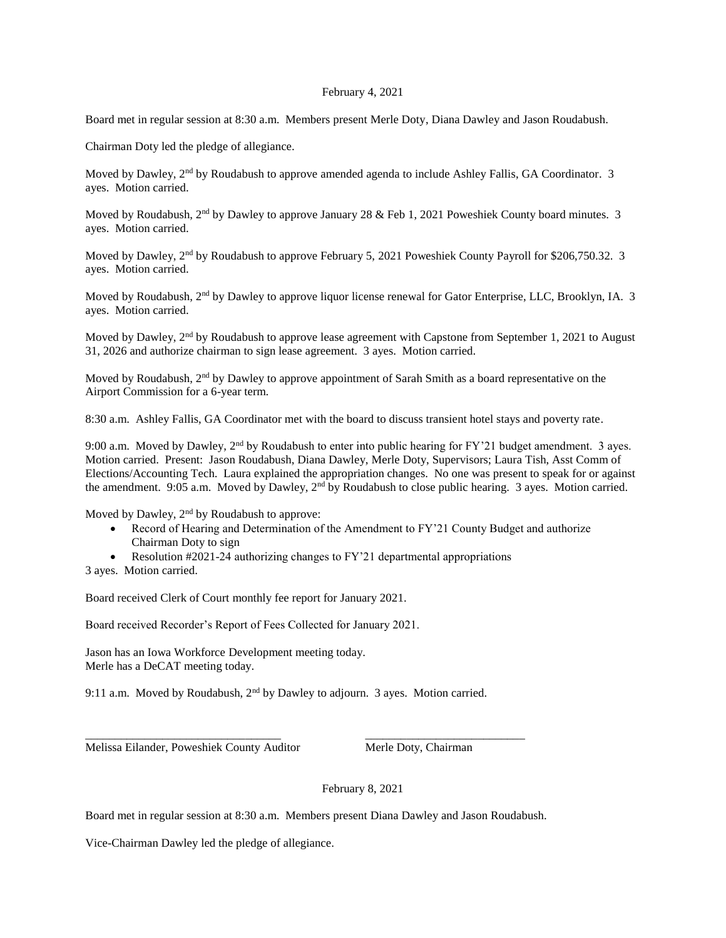## February 4, 2021

Board met in regular session at 8:30 a.m. Members present Merle Doty, Diana Dawley and Jason Roudabush.

Chairman Doty led the pledge of allegiance.

Moved by Dawley, 2<sup>nd</sup> by Roudabush to approve amended agenda to include Ashley Fallis, GA Coordinator. 3 ayes. Motion carried.

Moved by Roudabush, 2<sup>nd</sup> by Dawley to approve January 28 & Feb 1, 2021 Poweshiek County board minutes. 3 ayes. Motion carried.

Moved by Dawley, 2<sup>nd</sup> by Roudabush to approve February 5, 2021 Poweshiek County Payroll for \$206,750.32. 3 ayes. Motion carried.

Moved by Roudabush, 2<sup>nd</sup> by Dawley to approve liquor license renewal for Gator Enterprise, LLC, Brooklyn, IA. 3 ayes. Motion carried.

Moved by Dawley, 2<sup>nd</sup> by Roudabush to approve lease agreement with Capstone from September 1, 2021 to August 31, 2026 and authorize chairman to sign lease agreement. 3 ayes. Motion carried.

Moved by Roudabush, 2<sup>nd</sup> by Dawley to approve appointment of Sarah Smith as a board representative on the Airport Commission for a 6-year term.

8:30 a.m. Ashley Fallis, GA Coordinator met with the board to discuss transient hotel stays and poverty rate.

9:00 a.m. Moved by Dawley,  $2<sup>nd</sup>$  by Roudabush to enter into public hearing for FY'21 budget amendment. 3 ayes. Motion carried. Present: Jason Roudabush, Diana Dawley, Merle Doty, Supervisors; Laura Tish, Asst Comm of Elections/Accounting Tech. Laura explained the appropriation changes. No one was present to speak for or against the amendment. 9:05 a.m. Moved by Dawley, 2<sup>nd</sup> by Roudabush to close public hearing. 3 ayes. Motion carried.

Moved by Dawley, 2<sup>nd</sup> by Roudabush to approve:

- Record of Hearing and Determination of the Amendment to FY'21 County Budget and authorize Chairman Doty to sign
- Resolution #2021-24 authorizing changes to FY'21 departmental appropriations

3 ayes. Motion carried.

Board received Clerk of Court monthly fee report for January 2021.

Board received Recorder's Report of Fees Collected for January 2021.

Jason has an Iowa Workforce Development meeting today. Merle has a DeCAT meeting today.

9:11 a.m. Moved by Roudabush, 2<sup>nd</sup> by Dawley to adjourn. 3 ayes. Motion carried.

\_\_\_\_\_\_\_\_\_\_\_\_\_\_\_\_\_\_\_\_\_\_\_\_\_\_\_\_\_\_\_\_\_ \_\_\_\_\_\_\_\_\_\_\_\_\_\_\_\_\_\_\_\_\_\_\_\_\_\_\_

Melissa Eilander, Poweshiek County Auditor Merle Doty, Chairman

February 8, 2021

Board met in regular session at 8:30 a.m. Members present Diana Dawley and Jason Roudabush.

Vice-Chairman Dawley led the pledge of allegiance.